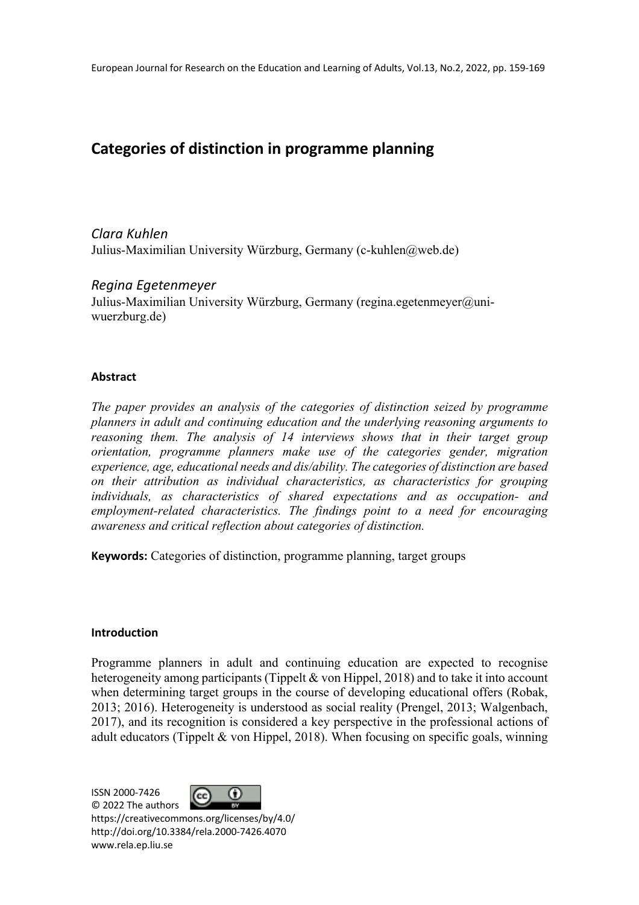# **Categories of distinction in programme planning**

*Clara Kuhlen* Julius-Maximilian University Würzburg, Germany (c-kuhlen@web.de)

*Regina Egetenmeyer*

Julius-Maximilian University Würzburg, Germany (regina.egetenmeyer@uniwuerzburg.de)

# **Abstract**

*The paper provides an analysis of the categories of distinction seized by programme planners in adult and continuing education and the underlying reasoning arguments to reasoning them. The analysis of 14 interviews shows that in their target group orientation, programme planners make use of the categories gender, migration experience, age, educational needs and dis/ability. The categories of distinction are based on their attribution as individual characteristics, as characteristics for grouping individuals, as characteristics of shared expectations and as occupation- and employment-related characteristics. The findings point to a need for encouraging awareness and critical reflection about categories of distinction.*

**Keywords:** Categories of distinction, programme planning, target groups

# **Introduction**

Programme planners in adult and continuing education are expected to recognise heterogeneity among participants (Tippelt & von Hippel, 2018) and to take it into account when determining target groups in the course of developing educational offers (Robak, 2013; 2016). Heterogeneity is understood as social reality (Prengel, 2013; Walgenbach, 2017), and its recognition is considered a key perspective in the professional actions of adult educators (Tippelt & von Hippel, 2018). When focusing on specific goals, winning

ISSN 2000-7426



© 2022 The authors https://creativecommons.org/licenses/by/4.0/ http://doi.org/10.3384/rela.2000-7426.4070 www.rela.ep.liu.se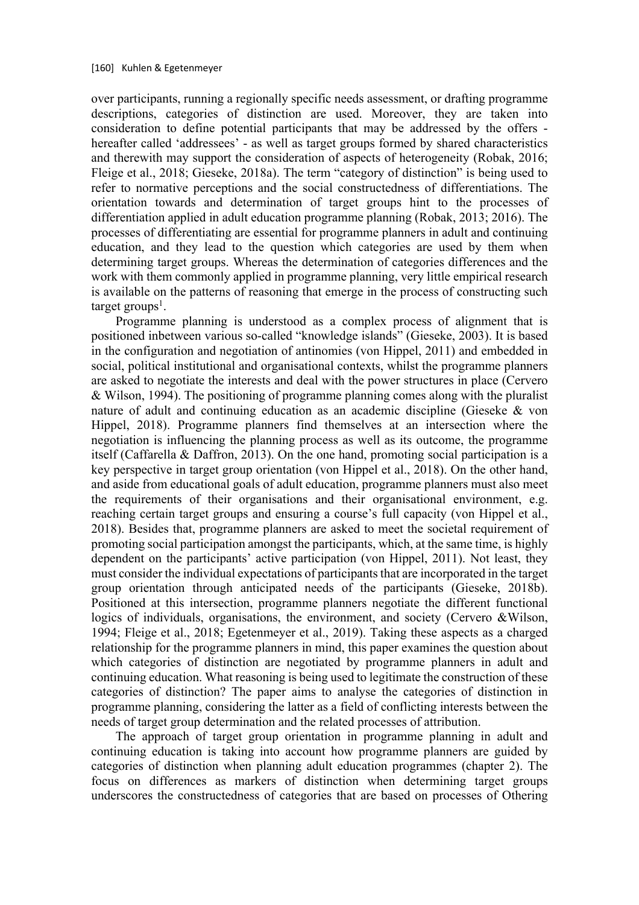over participants, running a regionally specific needs assessment, or drafting programme descriptions, categories of distinction are used. Moreover, they are taken into consideration to define potential participants that may be addressed by the offers hereafter called 'addressees' - as well as target groups formed by shared characteristics and therewith may support the consideration of aspects of heterogeneity (Robak, 2016; Fleige et al., 2018; Gieseke, 2018a). The term "category of distinction" is being used to refer to normative perceptions and the social constructedness of differentiations. The orientation towards and determination of target groups hint to the processes of differentiation applied in adult education programme planning (Robak, 2013; 2016). The processes of differentiating are essential for programme planners in adult and continuing education, and they lead to the question which categories are used by them when determining target groups. Whereas the determination of categories differences and the work with them commonly applied in programme planning, very little empirical research is available on the patterns of reasoning that emerge in the process of constructing such target groups<sup>1</sup>.

Programme planning is understood as a complex process of alignment that is positioned inbetween various so-called "knowledge islands" (Gieseke, 2003). It is based in the configuration and negotiation of antinomies (von Hippel, 2011) and embedded in social, political institutional and organisational contexts, whilst the programme planners are asked to negotiate the interests and deal with the power structures in place (Cervero & Wilson, 1994). The positioning of programme planning comes along with the pluralist nature of adult and continuing education as an academic discipline (Gieseke & von Hippel, 2018). Programme planners find themselves at an intersection where the negotiation is influencing the planning process as well as its outcome, the programme itself (Caffarella & Daffron, 2013). On the one hand, promoting social participation is a key perspective in target group orientation (von Hippel et al., 2018). On the other hand, and aside from educational goals of adult education, programme planners must also meet the requirements of their organisations and their organisational environment, e.g. reaching certain target groups and ensuring a course's full capacity (von Hippel et al., 2018). Besides that, programme planners are asked to meet the societal requirement of promoting social participation amongst the participants, which, at the same time, is highly dependent on the participants' active participation (von Hippel, 2011). Not least, they must consider the individual expectations of participants that are incorporated in the target group orientation through anticipated needs of the participants (Gieseke, 2018b). Positioned at this intersection, programme planners negotiate the different functional logics of individuals, organisations, the environment, and society (Cervero &Wilson, 1994; Fleige et al., 2018; Egetenmeyer et al., 2019). Taking these aspects as a charged relationship for the programme planners in mind, this paper examines the question about which categories of distinction are negotiated by programme planners in adult and continuing education. What reasoning is being used to legitimate the construction of these categories of distinction? The paper aims to analyse the categories of distinction in programme planning, considering the latter as a field of conflicting interests between the needs of target group determination and the related processes of attribution.

The approach of target group orientation in programme planning in adult and continuing education is taking into account how programme planners are guided by categories of distinction when planning adult education programmes (chapter 2). The focus on differences as markers of distinction when determining target groups underscores the constructedness of categories that are based on processes of Othering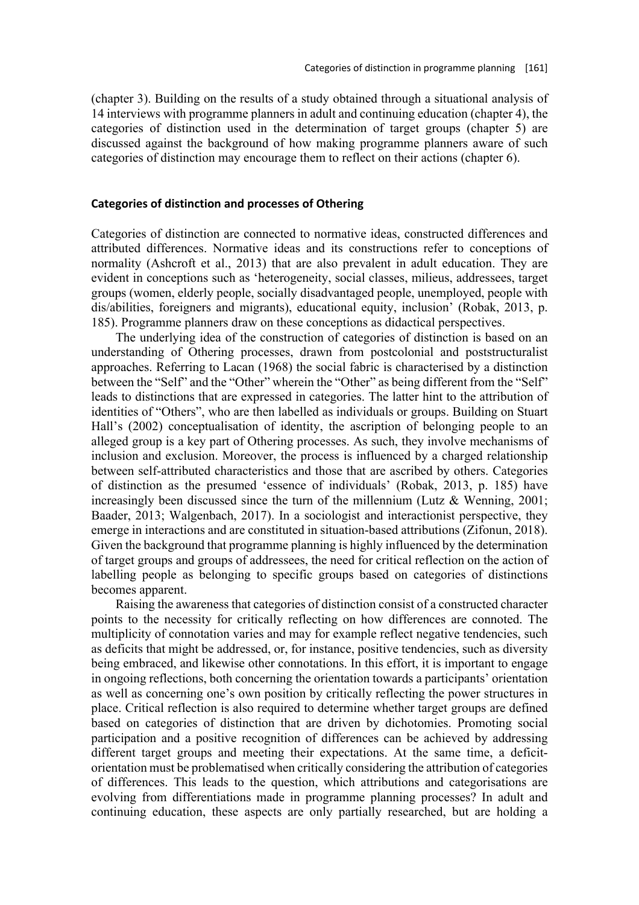(chapter 3). Building on the results of a study obtained through a situational analysis of 14 interviews with programme planners in adult and continuing education (chapter 4), the categories of distinction used in the determination of target groups (chapter 5) are discussed against the background of how making programme planners aware of such categories of distinction may encourage them to reflect on their actions (chapter 6).

## **Categories of distinction and processes of Othering**

Categories of distinction are connected to normative ideas, constructed differences and attributed differences. Normative ideas and its constructions refer to conceptions of normality (Ashcroft et al., 2013) that are also prevalent in adult education. They are evident in conceptions such as 'heterogeneity, social classes, milieus, addressees, target groups (women, elderly people, socially disadvantaged people, unemployed, people with dis/abilities, foreigners and migrants), educational equity, inclusion' (Robak, 2013, p. 185). Programme planners draw on these conceptions as didactical perspectives.

The underlying idea of the construction of categories of distinction is based on an understanding of Othering processes, drawn from postcolonial and poststructuralist approaches. Referring to Lacan (1968) the social fabric is characterised by a distinction between the "Self" and the "Other" wherein the "Other" as being different from the "Self" leads to distinctions that are expressed in categories. The latter hint to the attribution of identities of "Others", who are then labelled as individuals or groups. Building on Stuart Hall's (2002) conceptualisation of identity, the ascription of belonging people to an alleged group is a key part of Othering processes. As such, they involve mechanisms of inclusion and exclusion. Moreover, the process is influenced by a charged relationship between self-attributed characteristics and those that are ascribed by others. Categories of distinction as the presumed 'essence of individuals' (Robak, 2013, p. 185) have increasingly been discussed since the turn of the millennium (Lutz & Wenning, 2001; Baader, 2013; Walgenbach, 2017). In a sociologist and interactionist perspective, they emerge in interactions and are constituted in situation-based attributions (Zifonun, 2018). Given the background that programme planning is highly influenced by the determination of target groups and groups of addressees, the need for critical reflection on the action of labelling people as belonging to specific groups based on categories of distinctions becomes apparent.

Raising the awareness that categories of distinction consist of a constructed character points to the necessity for critically reflecting on how differences are connoted. The multiplicity of connotation varies and may for example reflect negative tendencies, such as deficits that might be addressed, or, for instance, positive tendencies, such as diversity being embraced, and likewise other connotations. In this effort, it is important to engage in ongoing reflections, both concerning the orientation towards a participants' orientation as well as concerning one's own position by critically reflecting the power structures in place. Critical reflection is also required to determine whether target groups are defined based on categories of distinction that are driven by dichotomies. Promoting social participation and a positive recognition of differences can be achieved by addressing different target groups and meeting their expectations. At the same time, a deficitorientation must be problematised when critically considering the attribution of categories of differences. This leads to the question, which attributions and categorisations are evolving from differentiations made in programme planning processes? In adult and continuing education, these aspects are only partially researched, but are holding a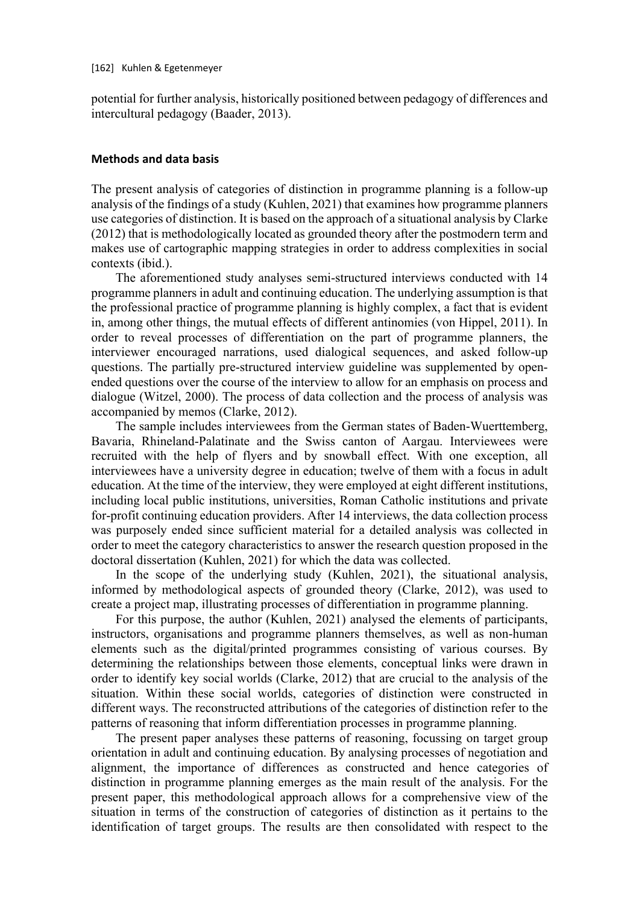potential for further analysis, historically positioned between pedagogy of differences and intercultural pedagogy (Baader, 2013).

#### **Methods and data basis**

The present analysis of categories of distinction in programme planning is a follow-up analysis of the findings of a study (Kuhlen, 2021) that examines how programme planners use categories of distinction. It is based on the approach of a situational analysis by Clarke (2012) that is methodologically located as grounded theory after the postmodern term and makes use of cartographic mapping strategies in order to address complexities in social contexts (ibid.).

The aforementioned study analyses semi-structured interviews conducted with 14 programme planners in adult and continuing education. The underlying assumption is that the professional practice of programme planning is highly complex, a fact that is evident in, among other things, the mutual effects of different antinomies (von Hippel, 2011). In order to reveal processes of differentiation on the part of programme planners, the interviewer encouraged narrations, used dialogical sequences, and asked follow-up questions. The partially pre-structured interview guideline was supplemented by openended questions over the course of the interview to allow for an emphasis on process and dialogue (Witzel, 2000). The process of data collection and the process of analysis was accompanied by memos (Clarke, 2012).

The sample includes interviewees from the German states of Baden-Wuerttemberg, Bavaria, Rhineland-Palatinate and the Swiss canton of Aargau. Interviewees were recruited with the help of flyers and by snowball effect. With one exception, all interviewees have a university degree in education; twelve of them with a focus in adult education. At the time of the interview, they were employed at eight different institutions, including local public institutions, universities, Roman Catholic institutions and private for-profit continuing education providers. After 14 interviews, the data collection process was purposely ended since sufficient material for a detailed analysis was collected in order to meet the category characteristics to answer the research question proposed in the doctoral dissertation (Kuhlen, 2021) for which the data was collected.

In the scope of the underlying study (Kuhlen, 2021), the situational analysis, informed by methodological aspects of grounded theory (Clarke, 2012), was used to create a project map, illustrating processes of differentiation in programme planning.

For this purpose, the author (Kuhlen, 2021) analysed the elements of participants, instructors, organisations and programme planners themselves, as well as non-human elements such as the digital/printed programmes consisting of various courses. By determining the relationships between those elements, conceptual links were drawn in order to identify key social worlds (Clarke, 2012) that are crucial to the analysis of the situation. Within these social worlds, categories of distinction were constructed in different ways. The reconstructed attributions of the categories of distinction refer to the patterns of reasoning that inform differentiation processes in programme planning.

The present paper analyses these patterns of reasoning, focussing on target group orientation in adult and continuing education. By analysing processes of negotiation and alignment, the importance of differences as constructed and hence categories of distinction in programme planning emerges as the main result of the analysis. For the present paper, this methodological approach allows for a comprehensive view of the situation in terms of the construction of categories of distinction as it pertains to the identification of target groups. The results are then consolidated with respect to the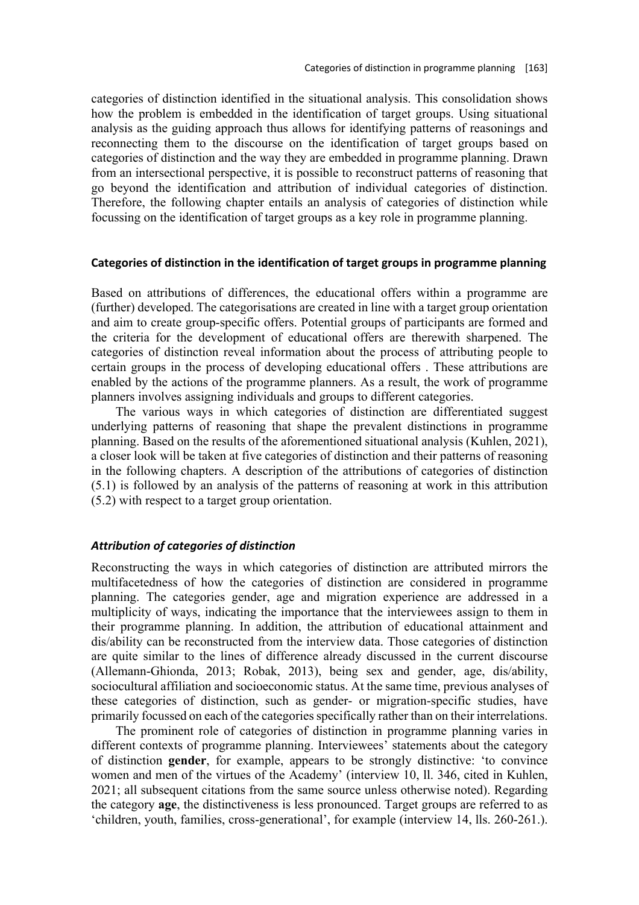categories of distinction identified in the situational analysis. This consolidation shows how the problem is embedded in the identification of target groups. Using situational analysis as the guiding approach thus allows for identifying patterns of reasonings and reconnecting them to the discourse on the identification of target groups based on categories of distinction and the way they are embedded in programme planning. Drawn from an intersectional perspective, it is possible to reconstruct patterns of reasoning that go beyond the identification and attribution of individual categories of distinction. Therefore, the following chapter entails an analysis of categories of distinction while focussing on the identification of target groups as a key role in programme planning.

#### **Categories of distinction in the identification of target groups in programme planning**

Based on attributions of differences, the educational offers within a programme are (further) developed. The categorisations are created in line with a target group orientation and aim to create group-specific offers. Potential groups of participants are formed and the criteria for the development of educational offers are therewith sharpened. The categories of distinction reveal information about the process of attributing people to certain groups in the process of developing educational offers . These attributions are enabled by the actions of the programme planners. As a result, the work of programme planners involves assigning individuals and groups to different categories.

The various ways in which categories of distinction are differentiated suggest underlying patterns of reasoning that shape the prevalent distinctions in programme planning. Based on the results of the aforementioned situational analysis (Kuhlen, 2021), a closer look will be taken at five categories of distinction and their patterns of reasoning in the following chapters. A description of the attributions of categories of distinction (5.1) is followed by an analysis of the patterns of reasoning at work in this attribution (5.2) with respect to a target group orientation.

## *Attribution of categories of distinction*

Reconstructing the ways in which categories of distinction are attributed mirrors the multifacetedness of how the categories of distinction are considered in programme planning. The categories gender, age and migration experience are addressed in a multiplicity of ways, indicating the importance that the interviewees assign to them in their programme planning. In addition, the attribution of educational attainment and dis/ability can be reconstructed from the interview data. Those categories of distinction are quite similar to the lines of difference already discussed in the current discourse (Allemann-Ghionda, 2013; Robak, 2013), being sex and gender, age, dis/ability, sociocultural affiliation and socioeconomic status. At the same time, previous analyses of these categories of distinction, such as gender- or migration-specific studies, have primarily focussed on each of the categories specifically rather than on their interrelations.

The prominent role of categories of distinction in programme planning varies in different contexts of programme planning. Interviewees' statements about the category of distinction **gender**, for example, appears to be strongly distinctive: 'to convince women and men of the virtues of the Academy' (interview 10, ll. 346, cited in Kuhlen, 2021; all subsequent citations from the same source unless otherwise noted). Regarding the category **age**, the distinctiveness is less pronounced. Target groups are referred to as 'children, youth, families, cross-generational', for example (interview 14, lls. 260-261.).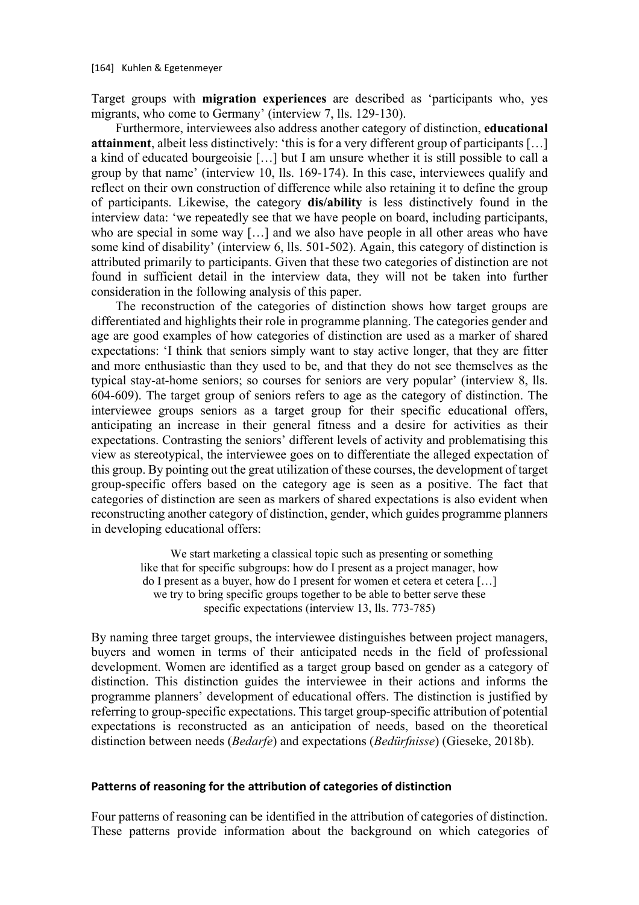Target groups with **migration experiences** are described as 'participants who, yes migrants, who come to Germany' (interview 7, lls. 129-130).

Furthermore, interviewees also address another category of distinction, **educational attainment**, albeit less distinctively: 'this is for a very different group of participants […] a kind of educated bourgeoisie […] but I am unsure whether it is still possible to call a group by that name' (interview 10, lls. 169-174). In this case, interviewees qualify and reflect on their own construction of difference while also retaining it to define the group of participants. Likewise, the category **dis/ability** is less distinctively found in the interview data: 'we repeatedly see that we have people on board, including participants, who are special in some way [...] and we also have people in all other areas who have some kind of disability' (interview 6, lls. 501-502). Again, this category of distinction is attributed primarily to participants. Given that these two categories of distinction are not found in sufficient detail in the interview data, they will not be taken into further consideration in the following analysis of this paper.

The reconstruction of the categories of distinction shows how target groups are differentiated and highlights their role in programme planning. The categories gender and age are good examples of how categories of distinction are used as a marker of shared expectations: 'I think that seniors simply want to stay active longer, that they are fitter and more enthusiastic than they used to be, and that they do not see themselves as the typical stay-at-home seniors; so courses for seniors are very popular' (interview 8, lls. 604-609). The target group of seniors refers to age as the category of distinction. The interviewee groups seniors as a target group for their specific educational offers, anticipating an increase in their general fitness and a desire for activities as their expectations. Contrasting the seniors' different levels of activity and problematising this view as stereotypical, the interviewee goes on to differentiate the alleged expectation of this group. By pointing out the great utilization of these courses, the development of target group-specific offers based on the category age is seen as a positive. The fact that categories of distinction are seen as markers of shared expectations is also evident when reconstructing another category of distinction, gender, which guides programme planners in developing educational offers:

> We start marketing a classical topic such as presenting or something like that for specific subgroups: how do I present as a project manager, how do I present as a buyer, how do I present for women et cetera et cetera [...] we try to bring specific groups together to be able to better serve these specific expectations (interview 13, lls. 773-785)

By naming three target groups, the interviewee distinguishes between project managers, buyers and women in terms of their anticipated needs in the field of professional development. Women are identified as a target group based on gender as a category of distinction. This distinction guides the interviewee in their actions and informs the programme planners' development of educational offers. The distinction is justified by referring to group-specific expectations. This target group-specific attribution of potential expectations is reconstructed as an anticipation of needs, based on the theoretical distinction between needs (*Bedarfe*) and expectations (*Bedürfnisse*) (Gieseke, 2018b).

## **Patterns of reasoning for the attribution of categories of distinction**

Four patterns of reasoning can be identified in the attribution of categories of distinction. These patterns provide information about the background on which categories of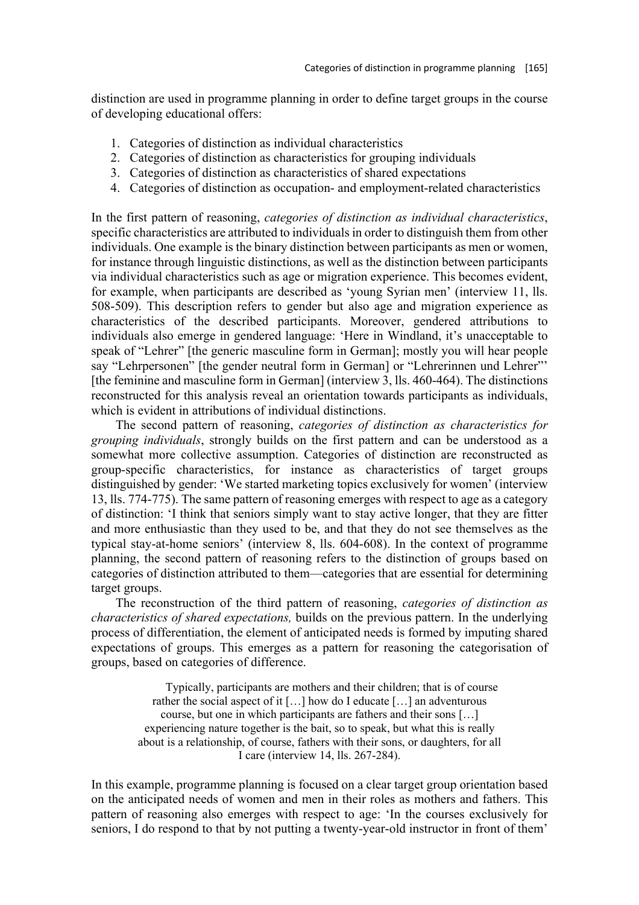distinction are used in programme planning in order to define target groups in the course of developing educational offers:

- 1. Categories of distinction as individual characteristics
- 2. Categories of distinction as characteristics for grouping individuals
- 3. Categories of distinction as characteristics of shared expectations
- 4. Categories of distinction as occupation- and employment-related characteristics

In the first pattern of reasoning, *categories of distinction as individual characteristics*, specific characteristics are attributed to individuals in order to distinguish them from other individuals. One example is the binary distinction between participants as men or women, for instance through linguistic distinctions, as well as the distinction between participants via individual characteristics such as age or migration experience. This becomes evident, for example, when participants are described as 'young Syrian men' (interview 11, lls. 508-509). This description refers to gender but also age and migration experience as characteristics of the described participants. Moreover, gendered attributions to individuals also emerge in gendered language: 'Here in Windland, it's unacceptable to speak of "Lehrer" [the generic masculine form in German]; mostly you will hear people say "Lehrpersonen" [the gender neutral form in German] or "Lehrerinnen und Lehrer"' [the feminine and masculine form in German] (interview 3, lls. 460-464). The distinctions reconstructed for this analysis reveal an orientation towards participants as individuals, which is evident in attributions of individual distinctions.

The second pattern of reasoning, *categories of distinction as characteristics for grouping individuals*, strongly builds on the first pattern and can be understood as a somewhat more collective assumption. Categories of distinction are reconstructed as group-specific characteristics, for instance as characteristics of target groups distinguished by gender: 'We started marketing topics exclusively for women' (interview 13, lls. 774-775). The same pattern of reasoning emerges with respect to age as a category of distinction: 'I think that seniors simply want to stay active longer, that they are fitter and more enthusiastic than they used to be, and that they do not see themselves as the typical stay-at-home seniors' (interview 8, lls. 604-608). In the context of programme planning, the second pattern of reasoning refers to the distinction of groups based on categories of distinction attributed to them—categories that are essential for determining target groups.

The reconstruction of the third pattern of reasoning, *categories of distinction as characteristics of shared expectations,* builds on the previous pattern. In the underlying process of differentiation, the element of anticipated needs is formed by imputing shared expectations of groups. This emerges as a pattern for reasoning the categorisation of groups, based on categories of difference.

> Typically, participants are mothers and their children; that is of course rather the social aspect of it […] how do I educate […] an adventurous course, but one in which participants are fathers and their sons […] experiencing nature together is the bait, so to speak, but what this is really about is a relationship, of course, fathers with their sons, or daughters, for all I care (interview 14, lls. 267-284).

In this example, programme planning is focused on a clear target group orientation based on the anticipated needs of women and men in their roles as mothers and fathers. This pattern of reasoning also emerges with respect to age: 'In the courses exclusively for seniors, I do respond to that by not putting a twenty-year-old instructor in front of them'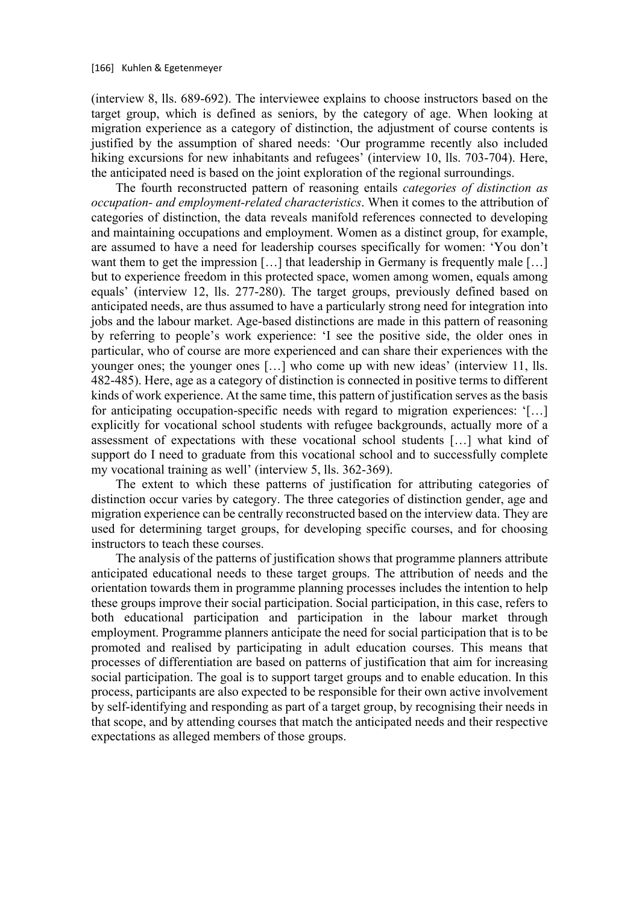(interview 8, lls. 689-692). The interviewee explains to choose instructors based on the target group, which is defined as seniors, by the category of age. When looking at migration experience as a category of distinction, the adjustment of course contents is justified by the assumption of shared needs: 'Our programme recently also included hiking excursions for new inhabitants and refugees' (interview 10, lls. 703-704). Here, the anticipated need is based on the joint exploration of the regional surroundings.

The fourth reconstructed pattern of reasoning entails *categories of distinction as occupation- and employment-related characteristics*. When it comes to the attribution of categories of distinction, the data reveals manifold references connected to developing and maintaining occupations and employment. Women as a distinct group, for example, are assumed to have a need for leadership courses specifically for women: 'You don't want them to get the impression [...] that leadership in Germany is frequently male [...] but to experience freedom in this protected space, women among women, equals among equals' (interview 12, lls. 277-280). The target groups, previously defined based on anticipated needs, are thus assumed to have a particularly strong need for integration into jobs and the labour market. Age-based distinctions are made in this pattern of reasoning by referring to people's work experience: 'I see the positive side, the older ones in particular, who of course are more experienced and can share their experiences with the younger ones; the younger ones [...] who come up with new ideas' (interview 11, lls. 482-485). Here, age as a category of distinction is connected in positive terms to different kinds of work experience. At the same time, this pattern of justification serves as the basis for anticipating occupation-specific needs with regard to migration experiences: '[…] explicitly for vocational school students with refugee backgrounds, actually more of a assessment of expectations with these vocational school students […] what kind of support do I need to graduate from this vocational school and to successfully complete my vocational training as well' (interview 5, lls. 362-369).

The extent to which these patterns of justification for attributing categories of distinction occur varies by category. The three categories of distinction gender, age and migration experience can be centrally reconstructed based on the interview data. They are used for determining target groups, for developing specific courses, and for choosing instructors to teach these courses.

The analysis of the patterns of justification shows that programme planners attribute anticipated educational needs to these target groups. The attribution of needs and the orientation towards them in programme planning processes includes the intention to help these groups improve their social participation. Social participation, in this case, refers to both educational participation and participation in the labour market through employment. Programme planners anticipate the need for social participation that is to be promoted and realised by participating in adult education courses. This means that processes of differentiation are based on patterns of justification that aim for increasing social participation. The goal is to support target groups and to enable education. In this process, participants are also expected to be responsible for their own active involvement by self-identifying and responding as part of a target group, by recognising their needs in that scope, and by attending courses that match the anticipated needs and their respective expectations as alleged members of those groups.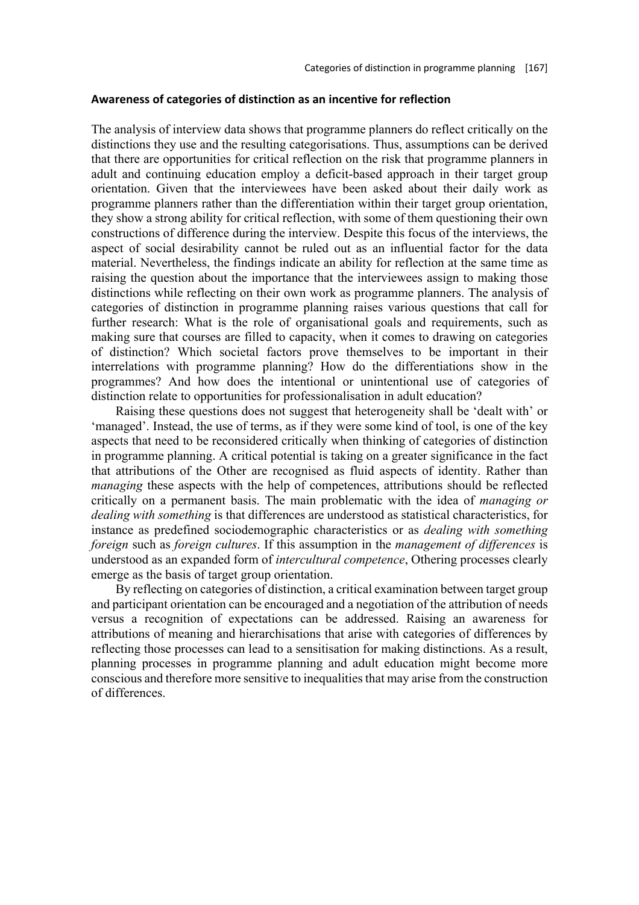## **Awareness of categories of distinction as an incentive for reflection**

The analysis of interview data shows that programme planners do reflect critically on the distinctions they use and the resulting categorisations. Thus, assumptions can be derived that there are opportunities for critical reflection on the risk that programme planners in adult and continuing education employ a deficit-based approach in their target group orientation. Given that the interviewees have been asked about their daily work as programme planners rather than the differentiation within their target group orientation, they show a strong ability for critical reflection, with some of them questioning their own constructions of difference during the interview. Despite this focus of the interviews, the aspect of social desirability cannot be ruled out as an influential factor for the data material. Nevertheless, the findings indicate an ability for reflection at the same time as raising the question about the importance that the interviewees assign to making those distinctions while reflecting on their own work as programme planners. The analysis of categories of distinction in programme planning raises various questions that call for further research: What is the role of organisational goals and requirements, such as making sure that courses are filled to capacity, when it comes to drawing on categories of distinction? Which societal factors prove themselves to be important in their interrelations with programme planning? How do the differentiations show in the programmes? And how does the intentional or unintentional use of categories of distinction relate to opportunities for professionalisation in adult education?

Raising these questions does not suggest that heterogeneity shall be 'dealt with' or 'managed'. Instead, the use of terms, as if they were some kind of tool, is one of the key aspects that need to be reconsidered critically when thinking of categories of distinction in programme planning. A critical potential is taking on a greater significance in the fact that attributions of the Other are recognised as fluid aspects of identity. Rather than *managing* these aspects with the help of competences, attributions should be reflected critically on a permanent basis. The main problematic with the idea of *managing or dealing with something* is that differences are understood as statistical characteristics, for instance as predefined sociodemographic characteristics or as *dealing with something foreign* such as *foreign cultures*. If this assumption in the *management of differences* is understood as an expanded form of *intercultural competence*, Othering processes clearly emerge as the basis of target group orientation.

By reflecting on categories of distinction, a critical examination between target group and participant orientation can be encouraged and a negotiation of the attribution of needs versus a recognition of expectations can be addressed. Raising an awareness for attributions of meaning and hierarchisations that arise with categories of differences by reflecting those processes can lead to a sensitisation for making distinctions. As a result, planning processes in programme planning and adult education might become more conscious and therefore more sensitive to inequalities that may arise from the construction of differences.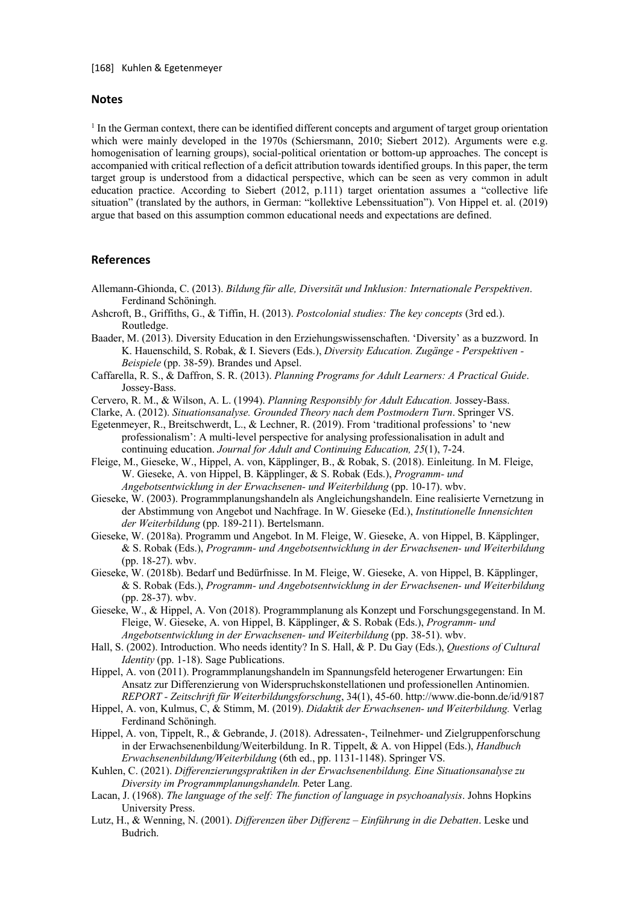## **Notes**

 $<sup>1</sup>$  In the German context, there can be identified different concepts and argument of target group orientation</sup> which were mainly developed in the 1970s (Schiersmann, 2010; Siebert 2012). Arguments were e.g. homogenisation of learning groups), social-political orientation or bottom-up approaches. The concept is accompanied with critical reflection of a deficit attribution towards identified groups. In this paper, the term target group is understood from a didactical perspective, which can be seen as very common in adult education practice. According to Siebert (2012, p.111) target orientation assumes a "collective life situation" (translated by the authors, in German: "kollektive Lebenssituation"). Von Hippel et. al. (2019) argue that based on this assumption common educational needs and expectations are defined.

#### **References**

- Allemann-Ghionda, C. (2013). *Bildung für alle, Diversität und Inklusion: Internationale Perspektiven*. Ferdinand Schöningh.
- Ashcroft, B., Griffiths, G., & Tiffin, H. (2013). *Postcolonial studies: The key concepts* (3rd ed.). Routledge.
- Baader, M. (2013). Diversity Education in den Erziehungswissenschaften. 'Diversity' as a buzzword. In K. Hauenschild, S. Robak, & I. Sievers (Eds.), *Diversity Education. Zugänge - Perspektiven - Beispiele* (pp. 38-59). Brandes und Apsel.
- Caffarella, R. S., & Daffron, S. R. (2013). *Planning Programs for Adult Learners: A Practical Guide*. Jossey-Bass.
- Cervero, R. M., & Wilson, A. L. (1994). *Planning Responsibly for Adult Education.* Jossey-Bass.
- Clarke, A. (2012). *Situationsanalyse. Grounded Theory nach dem Postmodern Turn*. Springer VS.
- Egetenmeyer, R., Breitschwerdt, L., & Lechner, R. (2019). From 'traditional professions' to 'new professionalism': A multi-level perspective for analysing professionalisation in adult and continuing education. *Journal for Adult and Continuing Education, 25*(1), 7-24.
- Fleige, M., Gieseke, W., Hippel, A. von, Käpplinger, B., & Robak, S. (2018). Einleitung. In M. Fleige, W. Gieseke, A. von Hippel, B. Käpplinger, & S. Robak (Eds.), *Programm- und Angebotsentwicklung in der Erwachsenen- und Weiterbildung* (pp. 10-17). wbv.
- Gieseke, W. (2003). Programmplanungshandeln als Angleichungshandeln. Eine realisierte Vernetzung in der Abstimmung von Angebot und Nachfrage. In W. Gieseke (Ed.), *Institutionelle Innensichten der Weiterbildung* (pp. 189-211). Bertelsmann.
- Gieseke, W. (2018a). Programm und Angebot. In M. Fleige, W. Gieseke, A. von Hippel, B. Käpplinger, & S. Robak (Eds.), *Programm- und Angebotsentwicklung in der Erwachsenen- und Weiterbildung* (pp. 18-27). wbv.
- Gieseke, W. (2018b). Bedarf und Bedürfnisse. In M. Fleige, W. Gieseke, A. von Hippel, B. Käpplinger, & S. Robak (Eds.), *Programm- und Angebotsentwicklung in der Erwachsenen- und Weiterbildung* (pp. 28-37). wbv.
- Gieseke, W., & Hippel, A. Von (2018). Programmplanung als Konzept und Forschungsgegenstand. In M. Fleige, W. Gieseke, A. von Hippel, B. Käpplinger, & S. Robak (Eds.), *Programm- und Angebotsentwicklung in der Erwachsenen- und Weiterbildung* (pp. 38-51). wbv.
- Hall, S. (2002). Introduction. Who needs identity? In S. Hall, & P. Du Gay (Eds.), *Questions of Cultural Identity* (pp. 1-18). Sage Publications.
- Hippel, A. von (2011). Programmplanungshandeln im Spannungsfeld heterogener Erwartungen: Ein Ansatz zur Differenzierung von Widerspruchskonstellationen und professionellen Antinomien. *REPORT - Zeitschrift für Weiterbildungsforschung*, 34(1), 45-60. http://www.die-bonn.de/id/9187
- Hippel, A. von, Kulmus, C, & Stimm, M. (2019). *Didaktik der Erwachsenen- und Weiterbildung.* Verlag Ferdinand Schöningh.
- Hippel, A. von, Tippelt, R., & Gebrande, J. (2018). Adressaten-, Teilnehmer- und Zielgruppenforschung in der Erwachsenenbildung/Weiterbildung. In R. Tippelt, & A. von Hippel (Eds.), *Handbuch Erwachsenenbildung/Weiterbildung* (6th ed., pp. 1131-1148). Springer VS.
- Kuhlen, C. (2021). *Differenzierungspraktiken in der Erwachsenenbildung. Eine Situationsanalyse zu Diversity im Programmplanungshandeln.* Peter Lang.
- Lacan, J. (1968). *The language of the self: The function of language in psychoanalysis*. Johns Hopkins University Press.
- Lutz, H., & Wenning, N. (2001). *Differenzen über Differenz – Einführung in die Debatten*. Leske und Budrich.